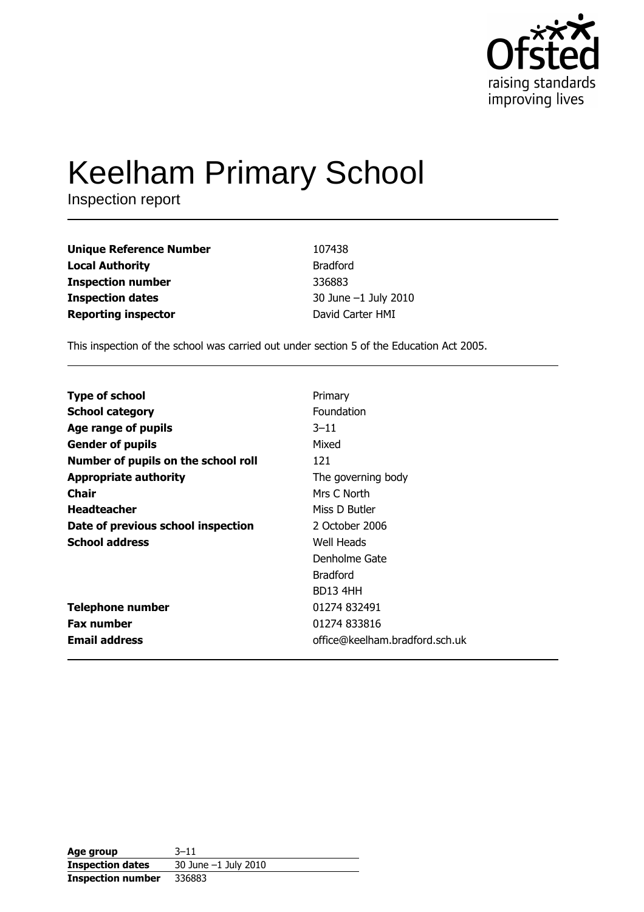

# **Keelham Primary School**

Inspection report

| <b>Unique Reference Number</b> | 107438               |
|--------------------------------|----------------------|
| <b>Local Authority</b>         | <b>Bradford</b>      |
| <b>Inspection number</b>       | 336883               |
| <b>Inspection dates</b>        | 30 June -1 July 2010 |
| <b>Reporting inspector</b>     | David Carter HMI     |

This inspection of the school was carried out under section 5 of the Education Act 2005.

| Primary                        |
|--------------------------------|
| Foundation                     |
| $3 - 11$                       |
| Mixed                          |
| 121                            |
| The governing body             |
| Mrs C North                    |
| Miss D Butler                  |
| 2 October 2006                 |
| Well Heads                     |
| Denholme Gate                  |
| <b>Bradford</b>                |
| BD13 4HH                       |
| 01274 832491                   |
| 01274 833816                   |
| office@keelham.bradford.sch.uk |
|                                |

| Age group                | 3–11                 |
|--------------------------|----------------------|
| <b>Inspection dates</b>  | 30 June -1 July 2010 |
| <b>Inspection number</b> | 336883               |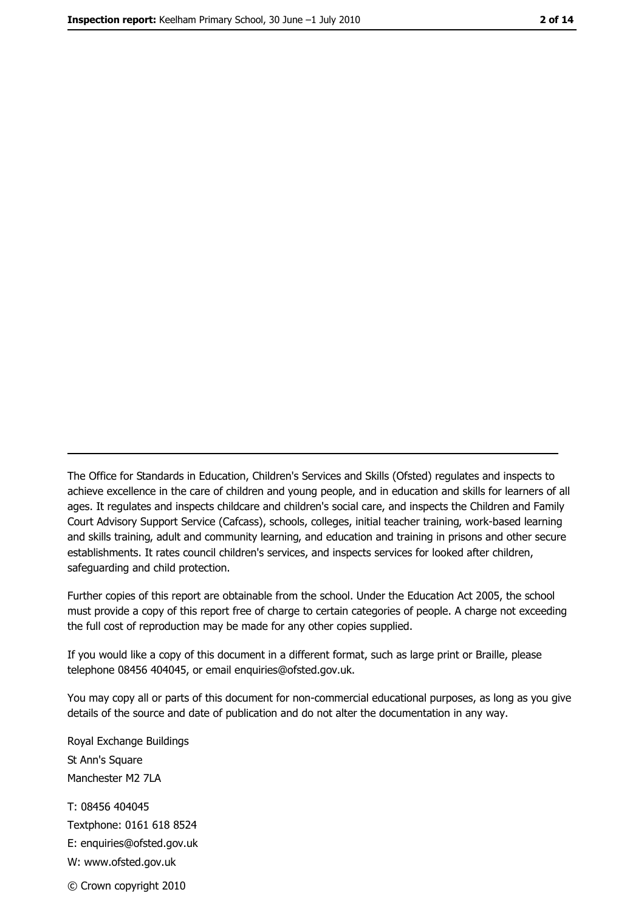The Office for Standards in Education, Children's Services and Skills (Ofsted) regulates and inspects to achieve excellence in the care of children and young people, and in education and skills for learners of all ages. It regulates and inspects childcare and children's social care, and inspects the Children and Family Court Advisory Support Service (Cafcass), schools, colleges, initial teacher training, work-based learning and skills training, adult and community learning, and education and training in prisons and other secure establishments. It rates council children's services, and inspects services for looked after children, safequarding and child protection.

Further copies of this report are obtainable from the school. Under the Education Act 2005, the school must provide a copy of this report free of charge to certain categories of people. A charge not exceeding the full cost of reproduction may be made for any other copies supplied.

If you would like a copy of this document in a different format, such as large print or Braille, please telephone 08456 404045, or email enquiries@ofsted.gov.uk.

You may copy all or parts of this document for non-commercial educational purposes, as long as you give details of the source and date of publication and do not alter the documentation in any way.

Royal Exchange Buildings St Ann's Square Manchester M2 7LA T: 08456 404045 Textphone: 0161 618 8524 E: enquiries@ofsted.gov.uk W: www.ofsted.gov.uk © Crown copyright 2010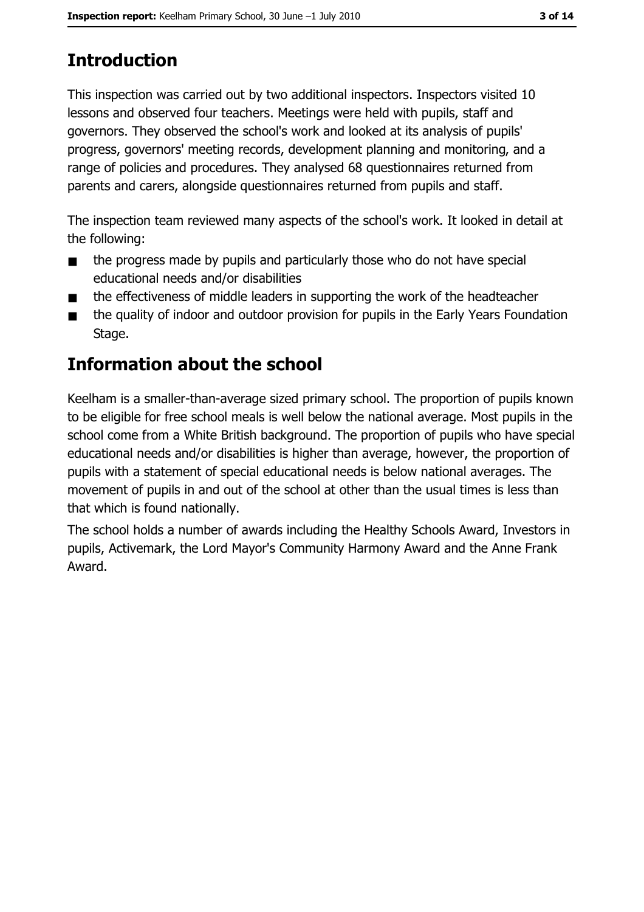# **Introduction**

This inspection was carried out by two additional inspectors. Inspectors visited 10 lessons and observed four teachers. Meetings were held with pupils, staff and governors. They observed the school's work and looked at its analysis of pupils' progress, governors' meeting records, development planning and monitoring, and a range of policies and procedures. They analysed 68 questionnaires returned from parents and carers, alongside questionnaires returned from pupils and staff.

The inspection team reviewed many aspects of the school's work. It looked in detail at the following:

- the progress made by pupils and particularly those who do not have special  $\blacksquare$ educational needs and/or disabilities
- the effectiveness of middle leaders in supporting the work of the headteacher
- the quality of indoor and outdoor provision for pupils in the Early Years Foundation  $\blacksquare$ Stage.

# Information about the school

Keelham is a smaller-than-average sized primary school. The proportion of pupils known to be eligible for free school meals is well below the national average. Most pupils in the school come from a White British background. The proportion of pupils who have special educational needs and/or disabilities is higher than average, however, the proportion of pupils with a statement of special educational needs is below national averages. The movement of pupils in and out of the school at other than the usual times is less than that which is found nationally.

The school holds a number of awards including the Healthy Schools Award, Investors in pupils, Activemark, the Lord Mayor's Community Harmony Award and the Anne Frank Award.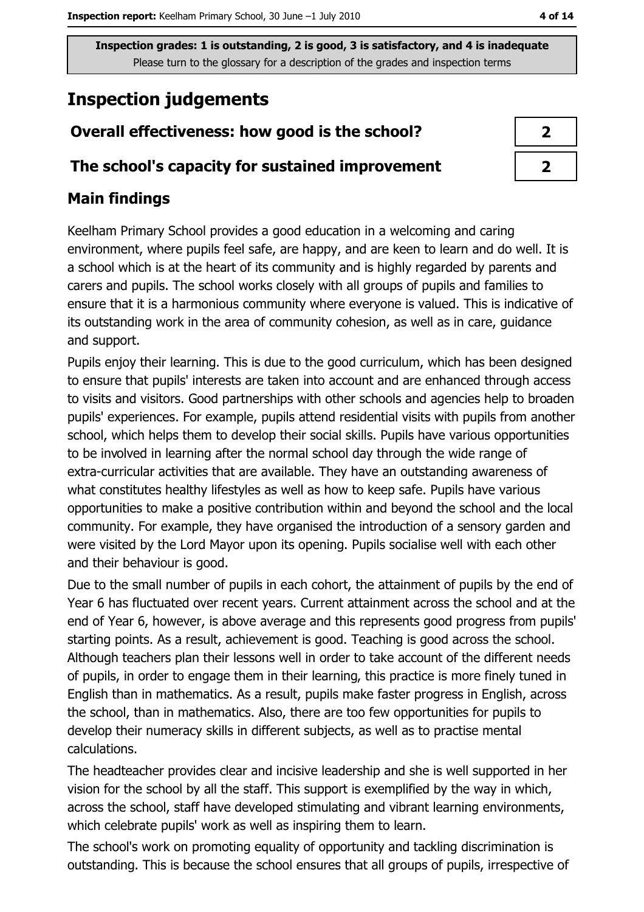# **Inspection judgements**

# Overall effectiveness: how good is the school?

## The school's capacity for sustained improvement

# **Main findings**

Keelham Primary School provides a good education in a welcoming and caring environment, where pupils feel safe, are happy, and are keen to learn and do well. It is a school which is at the heart of its community and is highly regarded by parents and carers and pupils. The school works closely with all groups of pupils and families to ensure that it is a harmonious community where everyone is valued. This is indicative of its outstanding work in the area of community cohesion, as well as in care, guidance and support.

Pupils enjoy their learning. This is due to the good curriculum, which has been designed to ensure that pupils' interests are taken into account and are enhanced through access to visits and visitors. Good partnerships with other schools and agencies help to broaden pupils' experiences. For example, pupils attend residential visits with pupils from another school, which helps them to develop their social skills. Pupils have various opportunities to be involved in learning after the normal school day through the wide range of extra-curricular activities that are available. They have an outstanding awareness of what constitutes healthy lifestyles as well as how to keep safe. Pupils have various opportunities to make a positive contribution within and beyond the school and the local community. For example, they have organised the introduction of a sensory garden and were visited by the Lord Mayor upon its opening. Pupils socialise well with each other and their behaviour is good.

Due to the small number of pupils in each cohort, the attainment of pupils by the end of Year 6 has fluctuated over recent years. Current attainment across the school and at the end of Year 6, however, is above average and this represents good progress from pupils' starting points. As a result, achievement is good. Teaching is good across the school. Although teachers plan their lessons well in order to take account of the different needs of pupils, in order to engage them in their learning, this practice is more finely tuned in English than in mathematics. As a result, pupils make faster progress in English, across the school, than in mathematics. Also, there are too few opportunities for pupils to develop their numeracy skills in different subjects, as well as to practise mental calculations.

The headteacher provides clear and incisive leadership and she is well supported in her vision for the school by all the staff. This support is exemplified by the way in which, across the school, staff have developed stimulating and vibrant learning environments, which celebrate pupils' work as well as inspiring them to learn.

The school's work on promoting equality of opportunity and tackling discrimination is outstanding. This is because the school ensures that all groups of pupils, irrespective of

| n |
|---|
| 1 |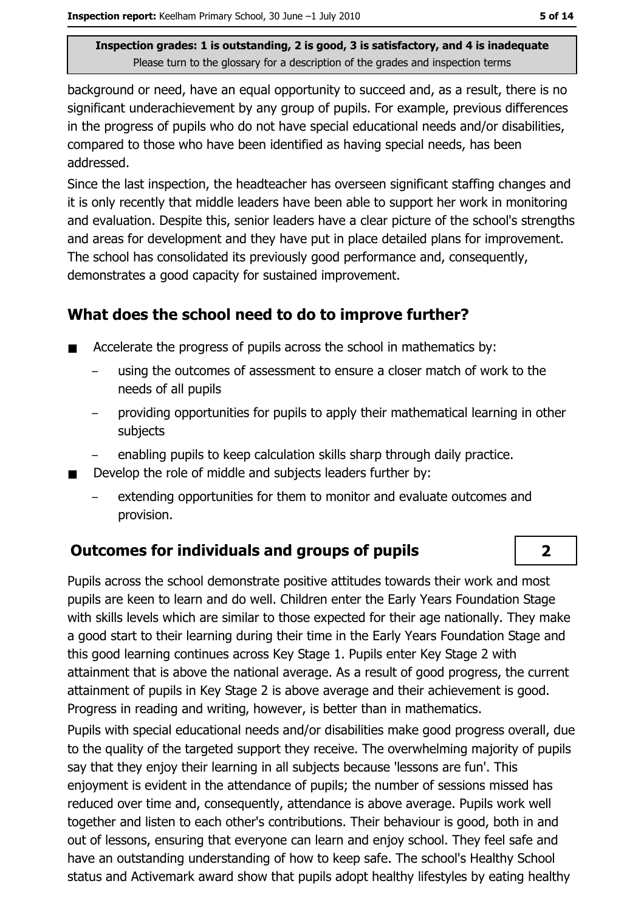background or need, have an equal opportunity to succeed and, as a result, there is no significant underachievement by any group of pupils. For example, previous differences in the progress of pupils who do not have special educational needs and/or disabilities, compared to those who have been identified as having special needs, has been addressed.

Since the last inspection, the headteacher has overseen significant staffing changes and it is only recently that middle leaders have been able to support her work in monitoring and evaluation. Despite this, senior leaders have a clear picture of the school's strengths and areas for development and they have put in place detailed plans for improvement. The school has consolidated its previously good performance and, consequently, demonstrates a good capacity for sustained improvement.

## What does the school need to do to improve further?

- Accelerate the progress of pupils across the school in mathematics by:  $\blacksquare$ 
	- using the outcomes of assessment to ensure a closer match of work to the needs of all pupils
	- providing opportunities for pupils to apply their mathematical learning in other subjects
	- enabling pupils to keep calculation skills sharp through daily practice.
- Develop the role of middle and subjects leaders further by:  $\blacksquare$ 
	- extending opportunities for them to monitor and evaluate outcomes and provision.

# Outcomes for individuals and groups of pupils

Pupils across the school demonstrate positive attitudes towards their work and most pupils are keen to learn and do well. Children enter the Early Years Foundation Stage with skills levels which are similar to those expected for their age nationally. They make a good start to their learning during their time in the Early Years Foundation Stage and this good learning continues across Key Stage 1. Pupils enter Key Stage 2 with attainment that is above the national average. As a result of good progress, the current attainment of pupils in Key Stage 2 is above average and their achievement is good. Progress in reading and writing, however, is better than in mathematics.

Pupils with special educational needs and/or disabilities make good progress overall, due to the quality of the targeted support they receive. The overwhelming majority of pupils say that they enjoy their learning in all subjects because 'lessons are fun'. This enjoyment is evident in the attendance of pupils; the number of sessions missed has reduced over time and, consequently, attendance is above average. Pupils work well together and listen to each other's contributions. Their behaviour is good, both in and out of lessons, ensuring that everyone can learn and enjoy school. They feel safe and have an outstanding understanding of how to keep safe. The school's Healthy School status and Activemark award show that pupils adopt healthy lifestyles by eating healthy

 $\overline{2}$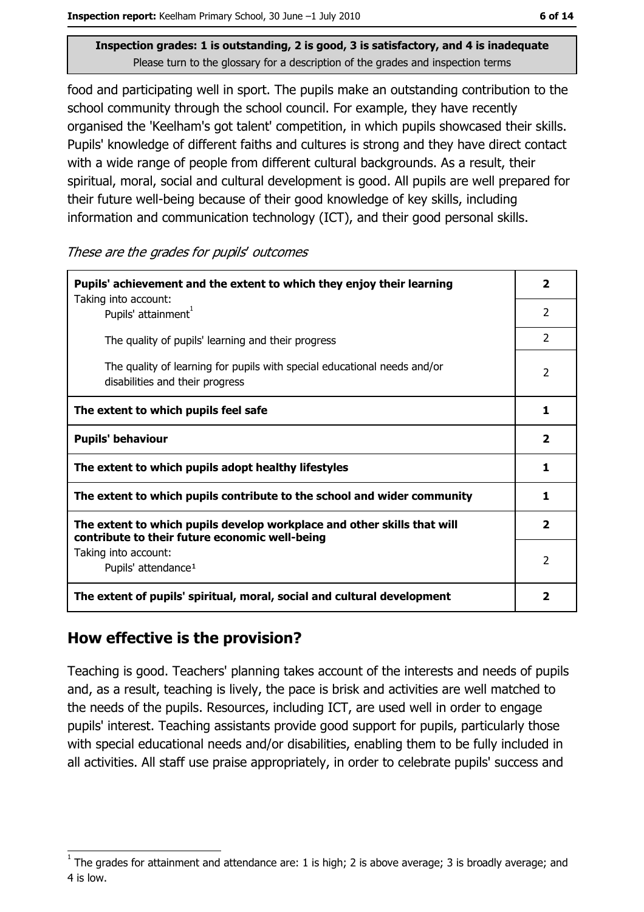food and participating well in sport. The pupils make an outstanding contribution to the school community through the school council. For example, they have recently organised the 'Keelham's got talent' competition, in which pupils showcased their skills. Pupils' knowledge of different faiths and cultures is strong and they have direct contact with a wide range of people from different cultural backgrounds. As a result, their spiritual, moral, social and cultural development is good. All pupils are well prepared for their future well-being because of their good knowledge of key skills, including information and communication technology (ICT), and their good personal skills.

These are the grades for pupils' outcomes

| Pupils' achievement and the extent to which they enjoy their learning                                                     |                |  |
|---------------------------------------------------------------------------------------------------------------------------|----------------|--|
| Taking into account:<br>Pupils' attainment <sup>1</sup>                                                                   | $\overline{2}$ |  |
| The quality of pupils' learning and their progress                                                                        | $\mathcal{P}$  |  |
| The quality of learning for pupils with special educational needs and/or<br>disabilities and their progress               |                |  |
| The extent to which pupils feel safe                                                                                      |                |  |
| <b>Pupils' behaviour</b>                                                                                                  |                |  |
| The extent to which pupils adopt healthy lifestyles                                                                       |                |  |
| The extent to which pupils contribute to the school and wider community                                                   |                |  |
| The extent to which pupils develop workplace and other skills that will<br>contribute to their future economic well-being |                |  |
| Taking into account:<br>Pupils' attendance <sup>1</sup>                                                                   |                |  |
| The extent of pupils' spiritual, moral, social and cultural development                                                   |                |  |

## How effective is the provision?

Teaching is good. Teachers' planning takes account of the interests and needs of pupils and, as a result, teaching is lively, the pace is brisk and activities are well matched to the needs of the pupils. Resources, including ICT, are used well in order to engage pupils' interest. Teaching assistants provide good support for pupils, particularly those with special educational needs and/or disabilities, enabling them to be fully included in all activities. All staff use praise appropriately, in order to celebrate pupils' success and

The grades for attainment and attendance are: 1 is high; 2 is above average; 3 is broadly average; and 4 is low.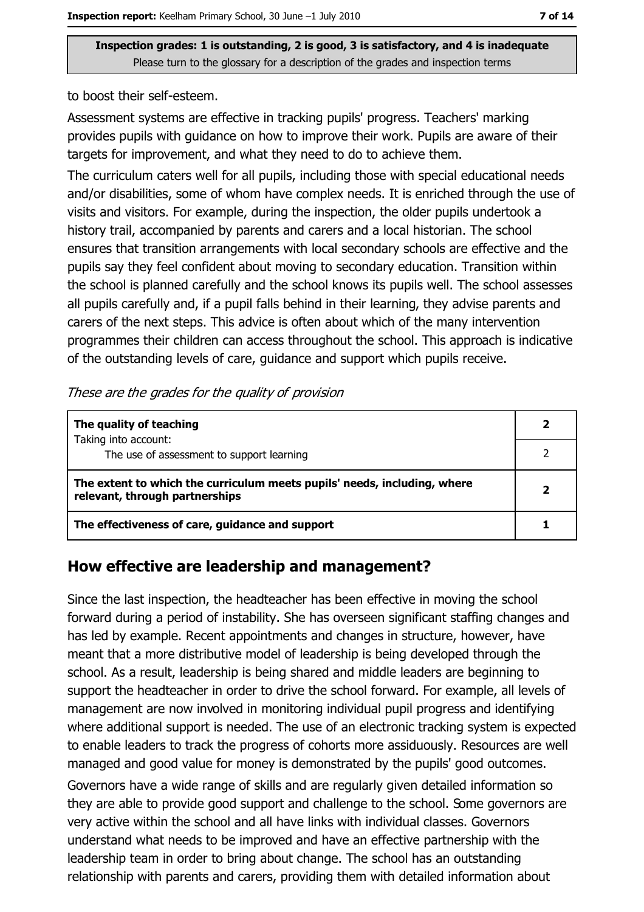to boost their self-esteem.

Assessment systems are effective in tracking pupils' progress. Teachers' marking provides pupils with guidance on how to improve their work. Pupils are aware of their targets for improvement, and what they need to do to achieve them.

The curriculum caters well for all pupils, including those with special educational needs and/or disabilities, some of whom have complex needs. It is enriched through the use of visits and visitors. For example, during the inspection, the older pupils undertook a history trail, accompanied by parents and carers and a local historian. The school ensures that transition arrangements with local secondary schools are effective and the pupils say they feel confident about moving to secondary education. Transition within the school is planned carefully and the school knows its pupils well. The school assesses all pupils carefully and, if a pupil falls behind in their learning, they advise parents and carers of the next steps. This advice is often about which of the many intervention programmes their children can access throughout the school. This approach is indicative of the outstanding levels of care, guidance and support which pupils receive.

| These are the grades for the quality of provision |  |
|---------------------------------------------------|--|
|---------------------------------------------------|--|

| The quality of teaching                                                                                    |  |
|------------------------------------------------------------------------------------------------------------|--|
| Taking into account:<br>The use of assessment to support learning                                          |  |
| The extent to which the curriculum meets pupils' needs, including, where<br>relevant, through partnerships |  |
| The effectiveness of care, guidance and support                                                            |  |

#### How effective are leadership and management?

Since the last inspection, the headteacher has been effective in moving the school forward during a period of instability. She has overseen significant staffing changes and has led by example. Recent appointments and changes in structure, however, have meant that a more distributive model of leadership is being developed through the school. As a result, leadership is being shared and middle leaders are beginning to support the headteacher in order to drive the school forward. For example, all levels of management are now involved in monitoring individual pupil progress and identifying where additional support is needed. The use of an electronic tracking system is expected to enable leaders to track the progress of cohorts more assiduously. Resources are well managed and good value for money is demonstrated by the pupils' good outcomes.

Governors have a wide range of skills and are regularly given detailed information so they are able to provide good support and challenge to the school. Some governors are very active within the school and all have links with individual classes. Governors understand what needs to be improved and have an effective partnership with the leadership team in order to bring about change. The school has an outstanding relationship with parents and carers, providing them with detailed information about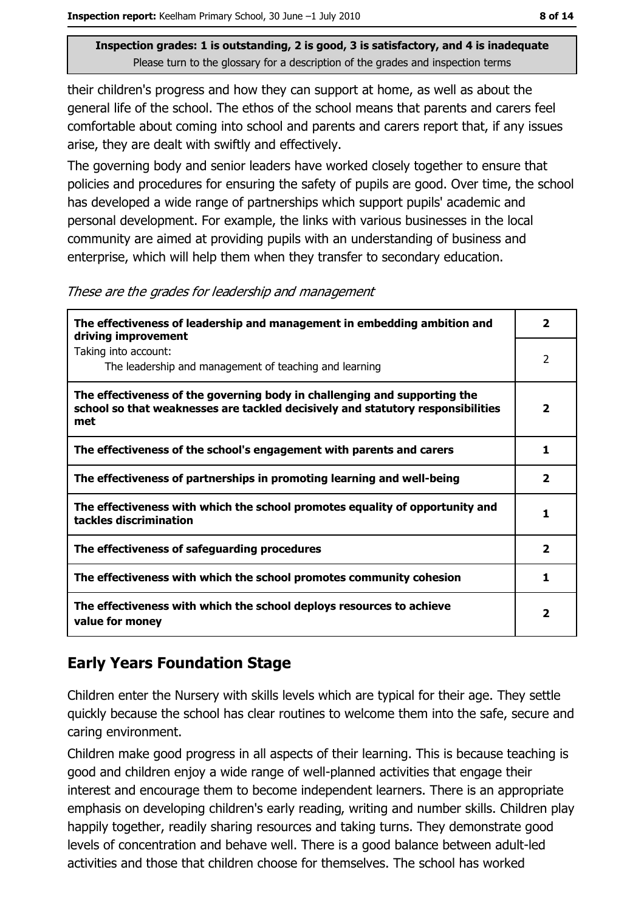their children's progress and how they can support at home, as well as about the general life of the school. The ethos of the school means that parents and carers feel comfortable about coming into school and parents and carers report that, if any issues arise, they are dealt with swiftly and effectively.

The governing body and senior leaders have worked closely together to ensure that policies and procedures for ensuring the safety of pupils are good. Over time, the school has developed a wide range of partnerships which support pupils' academic and personal development. For example, the links with various businesses in the local community are aimed at providing pupils with an understanding of business and enterprise, which will help them when they transfer to secondary education.

These are the grades for leadership and management

| The effectiveness of leadership and management in embedding ambition and<br>driving improvement                                                                     |                         |  |
|---------------------------------------------------------------------------------------------------------------------------------------------------------------------|-------------------------|--|
| Taking into account:<br>The leadership and management of teaching and learning                                                                                      | $\overline{2}$          |  |
| The effectiveness of the governing body in challenging and supporting the<br>school so that weaknesses are tackled decisively and statutory responsibilities<br>met | $\overline{\mathbf{2}}$ |  |
| The effectiveness of the school's engagement with parents and carers                                                                                                | 1                       |  |
| The effectiveness of partnerships in promoting learning and well-being                                                                                              | $\overline{\mathbf{2}}$ |  |
| The effectiveness with which the school promotes equality of opportunity and<br>tackles discrimination                                                              | 1.                      |  |
| The effectiveness of safeguarding procedures                                                                                                                        | $\overline{\mathbf{2}}$ |  |
| The effectiveness with which the school promotes community cohesion                                                                                                 | 1                       |  |
| The effectiveness with which the school deploys resources to achieve<br>value for money                                                                             | 2                       |  |

# **Early Years Foundation Stage**

Children enter the Nursery with skills levels which are typical for their age. They settle quickly because the school has clear routines to welcome them into the safe, secure and caring environment.

Children make good progress in all aspects of their learning. This is because teaching is good and children enjoy a wide range of well-planned activities that engage their interest and encourage them to become independent learners. There is an appropriate emphasis on developing children's early reading, writing and number skills. Children play happily together, readily sharing resources and taking turns. They demonstrate good levels of concentration and behave well. There is a good balance between adult-led activities and those that children choose for themselves. The school has worked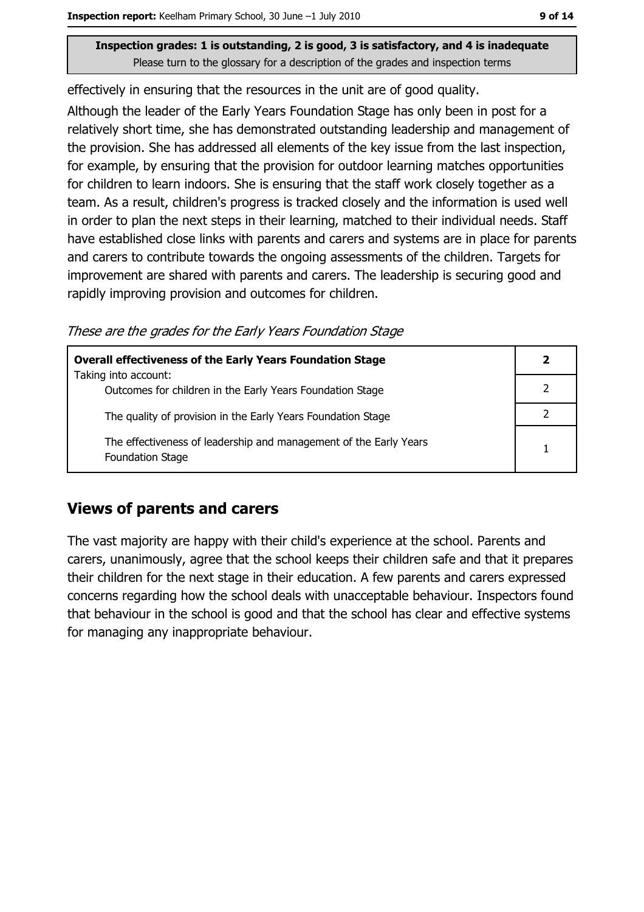effectively in ensuring that the resources in the unit are of good quality.

Although the leader of the Early Years Foundation Stage has only been in post for a relatively short time, she has demonstrated outstanding leadership and management of the provision. She has addressed all elements of the key issue from the last inspection, for example, by ensuring that the provision for outdoor learning matches opportunities for children to learn indoors. She is ensuring that the staff work closely together as a team. As a result, children's progress is tracked closely and the information is used well in order to plan the next steps in their learning, matched to their individual needs. Staff have established close links with parents and carers and systems are in place for parents and carers to contribute towards the ongoing assessments of the children. Targets for improvement are shared with parents and carers. The leadership is securing good and rapidly improving provision and outcomes for children.

These are the grades for the Early Years Foundation Stage

| <b>Overall effectiveness of the Early Years Foundation Stage</b>                      |  |  |
|---------------------------------------------------------------------------------------|--|--|
| Taking into account:<br>Outcomes for children in the Early Years Foundation Stage     |  |  |
| The quality of provision in the Early Years Foundation Stage                          |  |  |
| The effectiveness of leadership and management of the Early Years<br>Foundation Stage |  |  |

## **Views of parents and carers**

The vast majority are happy with their child's experience at the school. Parents and carers, unanimously, agree that the school keeps their children safe and that it prepares their children for the next stage in their education. A few parents and carers expressed concerns regarding how the school deals with unacceptable behaviour. Inspectors found that behaviour in the school is good and that the school has clear and effective systems for managing any inappropriate behaviour.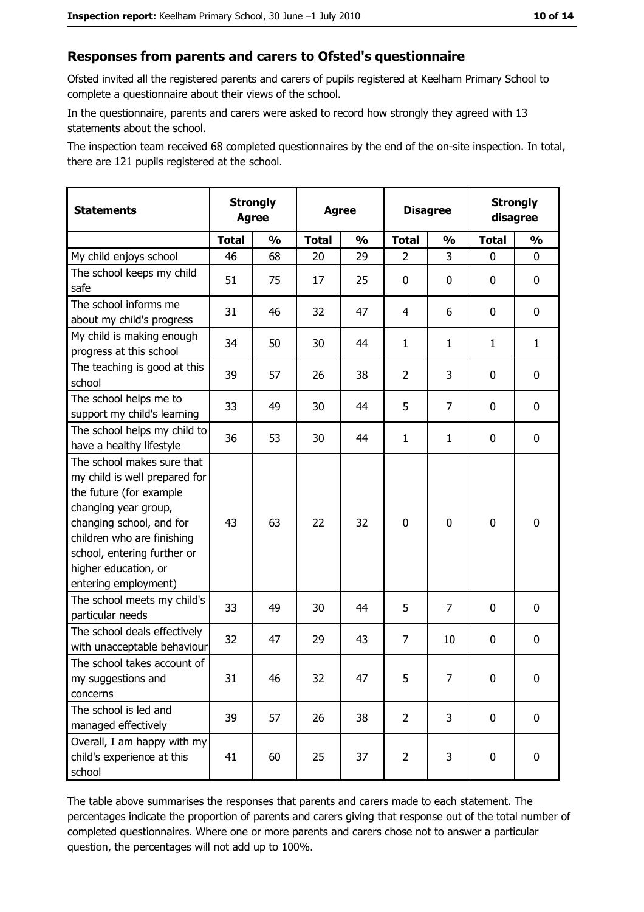#### Responses from parents and carers to Ofsted's questionnaire

Ofsted invited all the registered parents and carers of pupils registered at Keelham Primary School to complete a questionnaire about their views of the school.

In the questionnaire, parents and carers were asked to record how strongly they agreed with 13 statements about the school.

The inspection team received 68 completed questionnaires by the end of the on-site inspection. In total, there are 121 pupils registered at the school.

| <b>Statements</b>                                                                                                                                                                                                                                       | <b>Strongly</b><br><b>Agree</b> |               |              | <b>Agree</b>  |                | <b>Disagree</b> |              | <b>Strongly</b><br>disagree |
|---------------------------------------------------------------------------------------------------------------------------------------------------------------------------------------------------------------------------------------------------------|---------------------------------|---------------|--------------|---------------|----------------|-----------------|--------------|-----------------------------|
|                                                                                                                                                                                                                                                         | <b>Total</b>                    | $\frac{1}{2}$ | <b>Total</b> | $\frac{1}{2}$ | <b>Total</b>   | $\frac{0}{0}$   | <b>Total</b> | $\frac{1}{2}$               |
| My child enjoys school                                                                                                                                                                                                                                  | 46                              | 68            | 20           | 29            | 2              | 3               | $\Omega$     | 0                           |
| The school keeps my child<br>safe                                                                                                                                                                                                                       | 51                              | 75            | 17           | 25            | 0              | 0               | 0            | 0                           |
| The school informs me<br>about my child's progress                                                                                                                                                                                                      | 31                              | 46            | 32           | 47            | 4              | 6               | 0            | $\mathbf 0$                 |
| My child is making enough<br>progress at this school                                                                                                                                                                                                    | 34                              | 50            | 30           | 44            | $\mathbf{1}$   | $\mathbf{1}$    | 1            | $\mathbf{1}$                |
| The teaching is good at this<br>school                                                                                                                                                                                                                  | 39                              | 57            | 26           | 38            | $\overline{2}$ | 3               | 0            | 0                           |
| The school helps me to<br>support my child's learning                                                                                                                                                                                                   | 33                              | 49            | 30           | 44            | 5              | 7               | 0            | 0                           |
| The school helps my child to<br>have a healthy lifestyle                                                                                                                                                                                                | 36                              | 53            | 30           | 44            | $\mathbf{1}$   | $\mathbf{1}$    | 0            | 0                           |
| The school makes sure that<br>my child is well prepared for<br>the future (for example<br>changing year group,<br>changing school, and for<br>children who are finishing<br>school, entering further or<br>higher education, or<br>entering employment) | 43                              | 63            | 22           | 32            | $\overline{0}$ | 0               | $\mathbf 0$  | $\mathbf 0$                 |
| The school meets my child's<br>particular needs                                                                                                                                                                                                         | 33                              | 49            | 30           | 44            | 5              | 7               | 0            | 0                           |
| The school deals effectively<br>with unacceptable behaviour                                                                                                                                                                                             | 32                              | 47            | 29           | 43            | $\overline{7}$ | 10              | 0            | $\mathbf 0$                 |
| The school takes account of<br>my suggestions and<br>concerns                                                                                                                                                                                           | 31                              | 46            | 32           | 47            | 5              | 7               | 0            | 0                           |
| The school is led and<br>managed effectively                                                                                                                                                                                                            | 39                              | 57            | 26           | 38            | $\overline{2}$ | 3               | $\bf{0}$     | $\mathbf 0$                 |
| Overall, I am happy with my<br>child's experience at this<br>school                                                                                                                                                                                     | 41                              | 60            | 25           | 37            | $\overline{2}$ | 3               | $\mathbf 0$  | $\mathbf 0$                 |

The table above summarises the responses that parents and carers made to each statement. The percentages indicate the proportion of parents and carers giving that response out of the total number of completed questionnaires. Where one or more parents and carers chose not to answer a particular question, the percentages will not add up to 100%.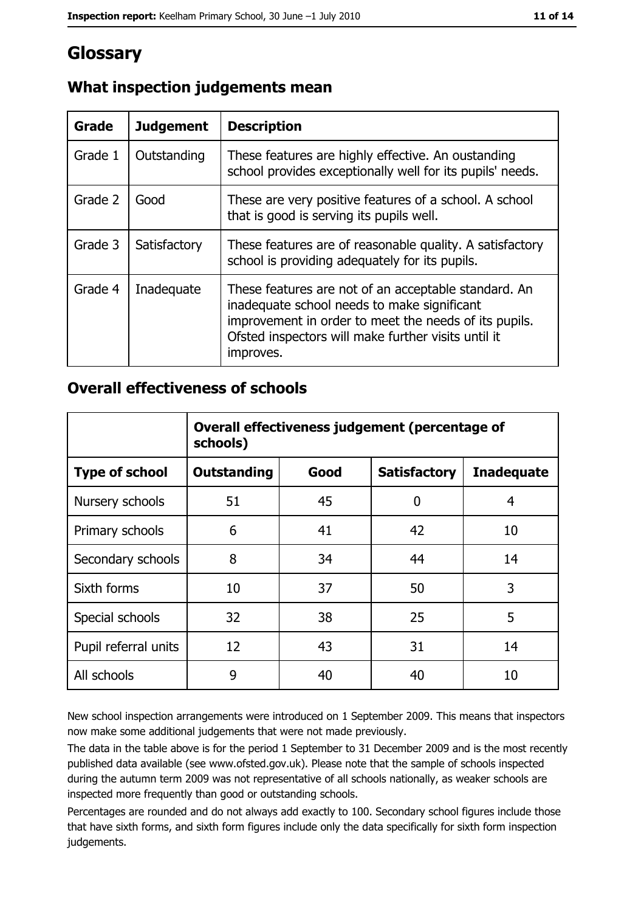# Glossary

| Grade   | <b>Judgement</b> | <b>Description</b>                                                                                                                                                                                                               |
|---------|------------------|----------------------------------------------------------------------------------------------------------------------------------------------------------------------------------------------------------------------------------|
| Grade 1 | Outstanding      | These features are highly effective. An oustanding<br>school provides exceptionally well for its pupils' needs.                                                                                                                  |
| Grade 2 | Good             | These are very positive features of a school. A school<br>that is good is serving its pupils well.                                                                                                                               |
| Grade 3 | Satisfactory     | These features are of reasonable quality. A satisfactory<br>school is providing adequately for its pupils.                                                                                                                       |
| Grade 4 | Inadequate       | These features are not of an acceptable standard. An<br>inadequate school needs to make significant<br>improvement in order to meet the needs of its pupils.<br>Ofsted inspectors will make further visits until it<br>improves. |

# What inspection judgements mean

## **Overall effectiveness of schools**

|                       | Overall effectiveness judgement (percentage of<br>schools) |      |                     |                   |  |
|-----------------------|------------------------------------------------------------|------|---------------------|-------------------|--|
| <b>Type of school</b> | <b>Outstanding</b>                                         | Good | <b>Satisfactory</b> | <b>Inadequate</b> |  |
| Nursery schools       | 51                                                         | 45   | 0                   | 4                 |  |
| Primary schools       | 6                                                          | 41   | 42                  | 10                |  |
| Secondary schools     | 8                                                          | 34   | 44                  | 14                |  |
| Sixth forms           | 10                                                         | 37   | 50                  | 3                 |  |
| Special schools       | 32                                                         | 38   | 25                  | 5                 |  |
| Pupil referral units  | 12                                                         | 43   | 31                  | 14                |  |
| All schools           | 9                                                          | 40   | 40                  | 10                |  |

New school inspection arrangements were introduced on 1 September 2009. This means that inspectors now make some additional judgements that were not made previously.

The data in the table above is for the period 1 September to 31 December 2009 and is the most recently published data available (see www.ofsted.gov.uk). Please note that the sample of schools inspected during the autumn term 2009 was not representative of all schools nationally, as weaker schools are inspected more frequently than good or outstanding schools.

Percentages are rounded and do not always add exactly to 100. Secondary school figures include those that have sixth forms, and sixth form figures include only the data specifically for sixth form inspection judgements.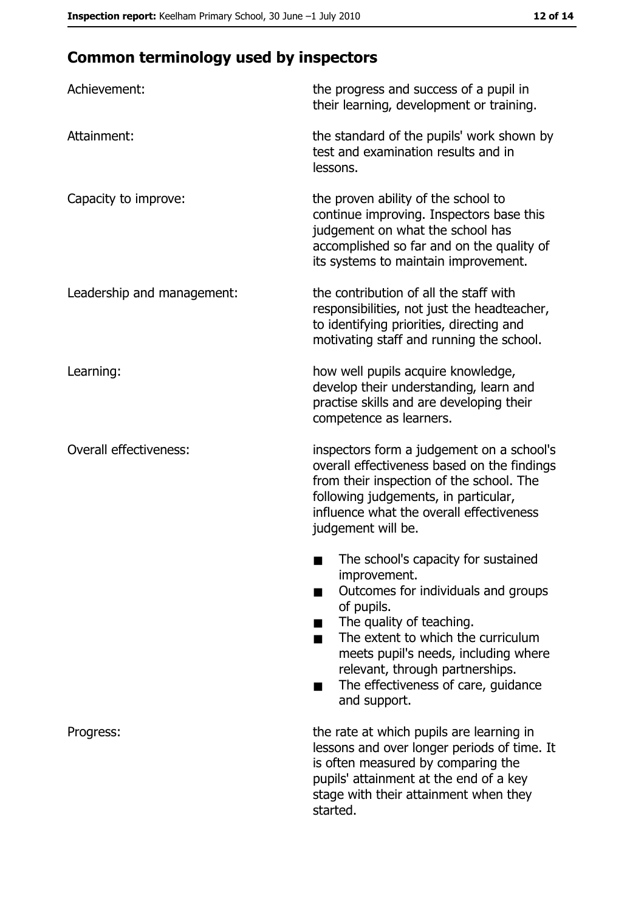# **Common terminology used by inspectors**

| Achievement:                  | the progress and success of a pupil in<br>their learning, development or training.                                                                                                                                                                                                                           |
|-------------------------------|--------------------------------------------------------------------------------------------------------------------------------------------------------------------------------------------------------------------------------------------------------------------------------------------------------------|
| Attainment:                   | the standard of the pupils' work shown by<br>test and examination results and in<br>lessons.                                                                                                                                                                                                                 |
| Capacity to improve:          | the proven ability of the school to<br>continue improving. Inspectors base this<br>judgement on what the school has<br>accomplished so far and on the quality of<br>its systems to maintain improvement.                                                                                                     |
| Leadership and management:    | the contribution of all the staff with<br>responsibilities, not just the headteacher,<br>to identifying priorities, directing and<br>motivating staff and running the school.                                                                                                                                |
| Learning:                     | how well pupils acquire knowledge,<br>develop their understanding, learn and<br>practise skills and are developing their<br>competence as learners.                                                                                                                                                          |
| <b>Overall effectiveness:</b> | inspectors form a judgement on a school's<br>overall effectiveness based on the findings<br>from their inspection of the school. The<br>following judgements, in particular,<br>influence what the overall effectiveness<br>judgement will be.                                                               |
|                               | The school's capacity for sustained<br>improvement.<br>Outcomes for individuals and groups<br>of pupils.<br>The quality of teaching.<br>The extent to which the curriculum<br>meets pupil's needs, including where<br>relevant, through partnerships.<br>The effectiveness of care, guidance<br>and support. |
| Progress:                     | the rate at which pupils are learning in<br>lessons and over longer periods of time. It<br>is often measured by comparing the<br>pupils' attainment at the end of a key<br>stage with their attainment when they<br>started.                                                                                 |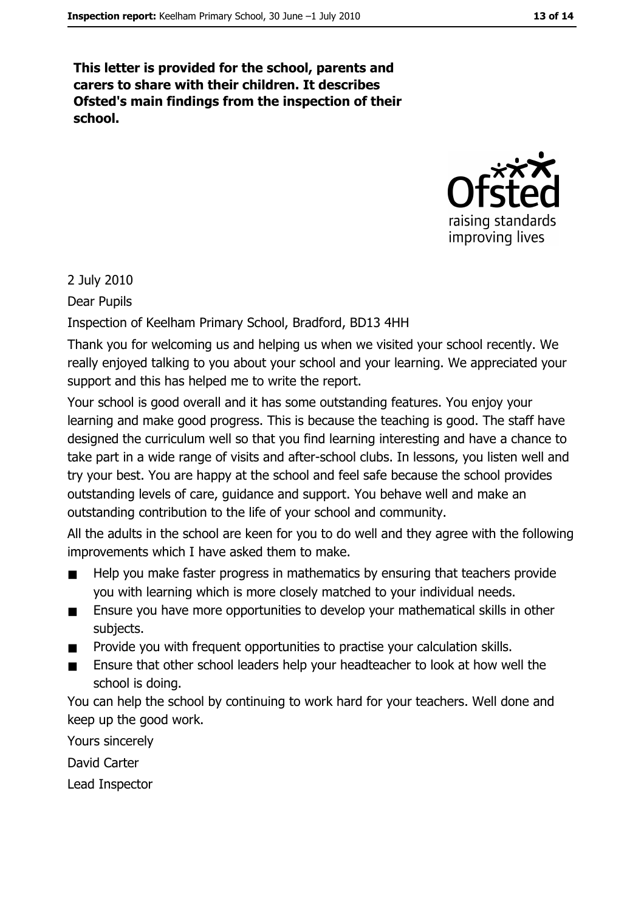This letter is provided for the school, parents and carers to share with their children. It describes Ofsted's main findings from the inspection of their school.



#### 2 July 2010

Dear Pupils

Inspection of Keelham Primary School, Bradford, BD13 4HH

Thank you for welcoming us and helping us when we visited your school recently. We really enjoved talking to you about your school and your learning. We appreciated your support and this has helped me to write the report.

Your school is good overall and it has some outstanding features. You enjoy your learning and make good progress. This is because the teaching is good. The staff have designed the curriculum well so that you find learning interesting and have a chance to take part in a wide range of visits and after-school clubs. In lessons, you listen well and try your best. You are happy at the school and feel safe because the school provides outstanding levels of care, quidance and support. You behave well and make an outstanding contribution to the life of your school and community.

All the adults in the school are keen for you to do well and they agree with the following improvements which I have asked them to make.

- Help you make faster progress in mathematics by ensuring that teachers provide you with learning which is more closely matched to your individual needs.
- Ensure you have more opportunities to develop your mathematical skills in other  $\blacksquare$ subjects.
- Provide you with frequent opportunities to practise your calculation skills.
- Ensure that other school leaders help your headteacher to look at how well the  $\blacksquare$ school is doing.

You can help the school by continuing to work hard for your teachers. Well done and keep up the good work.

Yours sincerely

David Carter

Lead Inspector